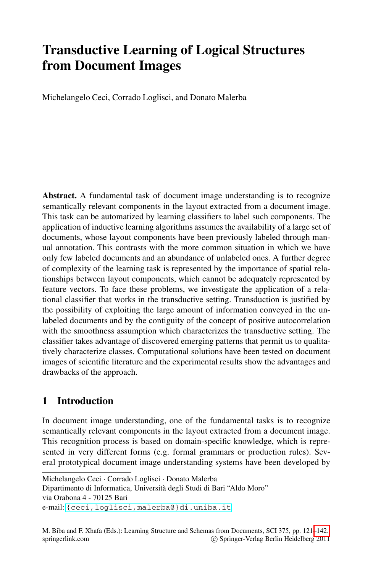# **Transductive Learning of Logical Structures from Document Images**

Michelangelo Ceci, Corrado Loglisci, and Donato Malerba

**Abstract.** A fundamental task of document image understanding is to recognize semantically relevant components in the layout extracted from a document image. This task can be automatized by learning classifiers to label such components. The application of inductive learning algorithms assumes the availability of a large set of documents, whose layout components have been previously labeled through manual annotation. This contrasts with the more common situation in which we have only few labeled documents and an abundance of unlabeled ones. A further degree of complexity of the learning task is represented by the importance of spatial relationships between layout components, which cannot be adequately represented by feature vectors. To face these problems, we investigate the application of a relational classifier that works in the transductive setting. Transduction is justified by the possibility of exploiting the large amount of information conveyed in the unlabeled documents and by the contiguity of the concept of positive autocorrelation with the smoothness assumption which characterizes the transductive setting. The classifier takes advantage of discovered emerging patterns that permit us to qualitatively characterize classes. Computational solutions have been tested on document images of scientific literature and the experimental results show the advantages and drawbacks of the approach.

# **1 Introduction**

In document image understanding, one of the fundamental tasks is to recognize [semantically]({ceci,loglisci,malerba@}di.uniba.it) [relevant]({ceci,loglisci,malerba@}di.uniba.it) [components]({ceci,loglisci,malerba@}di.uniba.it) in the layout extracted from a document image. This recognition process is based on domain-specific knowledge, which is represented in very different forms (e.g. formal grammars o[r pro](#page-21-0)duction rules). Several prototypical document image understanding systems have been developed by

Michelangelo Ceci · Corrado Loglisci · Donato Malerba

Dipartimento di Informatica, Università degli Studi di Bari "Aldo Moro"

via Orabona 4 - 70125 Bari

e-mail: {ceci,loglisci,malerba@}di.uniba.it

M. Biba and F. Xhafa (Eds.): Learning Structure and Schemas from Documents, SCI 375, pp. 121–142. springerlink.com c Springer-Verlag Berlin Heidelberg 2011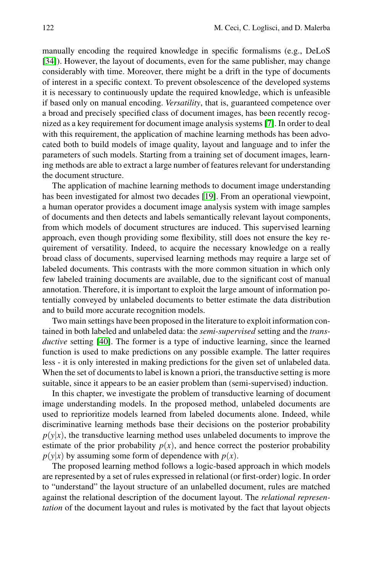manually encoding the required knowledg[e](#page-19-0) in specific formalisms (e.g., DeLoS [34]). However, the layout of documents, even for the same publisher, may change considerably with time. Moreover, there might be a drift in the type of documents of interest in a specific context. To prevent obsolescence of the developed systems it is necessary to continuously update the required knowledge, which is unfeasible if based only on manual encoding. *Versatility*, that is, guaranteed competence over a broad and precisely spe[cifie](#page-20-0)d class of document images, has been recently recognized as a key requirement for document image analysis systems [7]. In order to deal with this requirement, the application of machine learning methods has been advocated both to build models of image quality, layout and language and to infer the parameters of such models. Starting from a training set of document images, learning methods are able to extract a large number of features relevant for understanding the document structure.

The application of machine learning methods to document image understanding has been investigated for almost two decades [19]. From an operational viewpoint, a human operator provides a document image analysis system with image samples of documents and then detects and labels semantically relevant layout components, from which models of document structures are induced. This supervised learning approach, even though providing some flexibility, still does not ensure the key requirement of versatility. Indeed, to acquire the necessary knowledge on a really broad class of documents, supervised learning methods may require a large set of labeled documents. This contrasts with the more common situation in which only few labeled training documents are available, due to the significant cost of manual annotation. Therefore, it is important to exploit the large amount of information potentially conveyed by unlabeled documents to better estimate the data distribution and to build more accurate recognition models.

Two main settings have been proposed in the literature to exploit information contained in both labeled and unlabeled data: the *semi-supervised* setting and the *transductive* setting [40]. The former is a type of inductive learning, since the learned function is used to make predictions on any possible example. The latter requires less - it is only interested in making predictions for the given set of unlabeled data. When the set of documents to label is known a priori, the transductive setting is more suitable, since it appears to be an easier problem than (semi-supervised) induction.

In this chapter, we investigate the problem of transductive learning of document image understanding models. In the proposed method, unlabeled documents are used to reprioritize models learned from labeled documents alone. Indeed, while discriminative learning methods base their decisions on the posterior probability  $p(y|x)$ , the transductive learning method uses unlabeled documents to improve the estimate of the prior probability  $p(x)$ , and hence correct the posterior probability  $p(y|x)$  by assuming some form of dependence with  $p(x)$ .

The proposed learning method follows a logic-based approach in which models are represented by a set of rules expressed in relational (or first-order) logic. In order to "understand" the layout structure of an unlabelled document, rules are matched against the relational description of the document layout. The *relational representation* of the document layout and rules is motivated by the fact that layout objects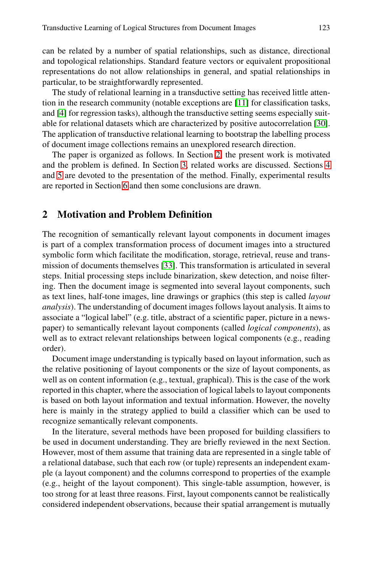can be related by a number of spatial relationships, suc[h](#page-21-1) [as](#page-21-1) distance, directional and topological relationships. Standard feature vectors or equivalent propositional representations do not allow [re](#page-2-0)lationships in general, and spatial relationships in particular, to be str[aig](#page-5-0)htforwardly represented.

The study of relational learning in a transductive setting h[as](#page-7-0) received little attenti[on](#page-15-0) in the research community (notable exceptions are [11] for classification tasks, and [4] for regression tasks), although the transductive setting seems especially suitable for relational datasets which are characterized by positive autocorrelation [30]. The application of transductive relational learning to bootstrap the labelling process of document image collections remains an unexplored research direction.

<span id="page-2-0"></span>The paper is organized as follows. In Section 2, the present work is motivated and the problem is defined. In Section 3, related works are discussed. Sections 4 and 5 are devoted to the presentation of the method. Finally, experimental results are reported i[n Se](#page-21-2)ction 6 and then some conclusions are drawn.

### **2 Motivation and Problem Definition**

The recognition of semantically relevant layout components in document images is part of a complex transformation process of document images into a structured symbolic form which facilitate the modification, storage, retrieval, reuse and transmission of documents themselves [33]. This transformation is articulated in several steps. Initial processing steps include binarization, skew detection, and noise filtering. Then the document image is segmented into several layout components, such as text lines, half-tone images, line drawings or graphics (this step is called *layout analysis*). The understanding of document images follows layout analysis. It aims to associate a "logical label" (e.g. title, abstract of a scientific paper, picture in a newspaper) to semantically relevant layout components (called *logical components*), as well as to extract relevant relationships between logical components (e.g., reading order).

Document image understanding is typically based on layout information, such as the relative positioning of layout components or the size of layout components, as well as on content information (e.g., textual, graphical). This is the case of the work reported in this chapter, where the association of logical labels to layout components is based on both layout information and textual information. However, the novelty here is mainly in the strategy applied to build a classifier which can be used to recognize semantically relevant components.

In the literature, several methods have been proposed for building classifiers to be used in document understanding. They are briefly reviewed in the next Section. However, most of them assume that training data are represented in a single table of a relational database, such that each row (or tuple) represents an independent example (a layout component) and the columns correspond to properties of the example (e.g., height of the layout component). This single-table assumption, however, is too strong for at least three reasons. First, layout components cannot be realistically considered independent observations, because their spatial arrangement is mutually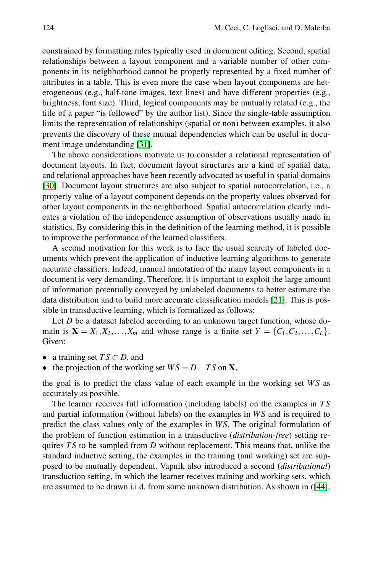constrained by formatting rules typically used in document editing. Second, spatial relatio[nshi](#page-21-3)ps between a layout component and a variable number of other components in its neighborhood cannot be properly represented by a fixed number of attributes in a table. This is even more the case when layout components are heterogeneous (e.g., half-tone images, text lines) and have different properties (e.g., brightness, font size). Third, logical components may be mutually related (e.g., the title of a paper "is followed" by the author list). Since the single-table assumption limits the representation of relationships (spatial or non) between examples, it also prevents the discovery of these mutual dependencies which can be useful in document image understanding [31].

The above considerations motivate us to consider a relational representation of document layouts. In fact, document layout structures are a kind of spatial data, and relational approaches have been recently advocated as useful in spatial domains [30]. Document layout structures are also subject to spatial autocorrelation, i.e., a property value of a layout component depends on the property values observed for other layout components in the neighborhood. Spatial autocorrelation clearly indicates a violation of the independence assum[ption](#page-20-2) of observations usually made in statistics. By considering this in the definition of the learning method, it is possible to improve the performance of the learned classifiers.

A second motivation for this work is to face the usual scarcity of labeled documents which prevent the application of inductive learning algorithms to generate accurate classifiers. Indeed, manual annotation of the many layout components in a document is very demanding. Therefore, it is important to exploit the large amount of information potentially conveyed by unlabeled documents to better estimate the data distribution and to build more accurate classification models [21]. This is possible in transductive learning, which is formalized as follows:

Let *D* be a dataset labeled according to an unknown target function, whose domain is  $X = X_1, X_2, \ldots, X_m$  and whose range is a finite set  $Y = \{C_1, C_2, \ldots, C_L\}.$ Given:

- a training set  $TS \subset D$ , and
- the projection of the working set  $WS = D TS$  on **X**,

the goal is to predict the class value of each example in the working set *WS* as accurately as possible.

The learner receives full information (including labels[\) on](#page-21-4) the examples in *T S* and partial information (without labels) on the examples in *WS* and is required to predict the class values only of the examples in *WS*. The original formulation of the problem of function estimation in a transductive (*distribution-free*) setting requires *T S* to be sampled from *D* without replacement. This means that, unlike the standard inductive setting, the examples in the training (and working) set are supposed to be mutually dependent. Vapnik also introduced a second (*distributional*) transduction setting, in which the learner receives training and working sets, which are assumed to be drawn i.i.d. from some unknown distribution. As shown in ([44],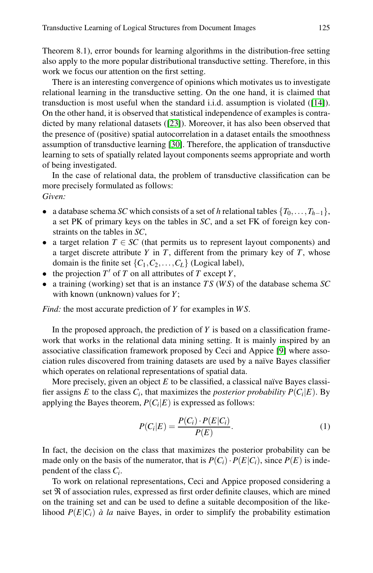Theorem 8.1), [erro](#page-20-4)r bounds for learning algorithms in the distribution-free setting also apply to th[e mo](#page-21-1)re popular distributional transductive setting. Therefore, in this work we focus our attention on the first setting.

There is an interesting convergence of opinions which motivates us to investigate relational learning in the transductive setting. On the one hand, it is claimed that transduction is most useful when the standard i.i.d. assumption is violated ([14]). On the other hand, it is observed that statistical independence of examples is contradicted by many relational datasets ([23]). Moreover, it has also been observed that the presence of (positive) spatial autocorrelation in a dataset entails the smoothness assumption of transductive learning [30]. Therefore, the application of transductive learning to sets of spatially related layout components seems appropriate and worth of being investigated.

In the case of relational data, the problem of transductive classification can be more precisely formulated as follows: *Given:*

- a database schema *SC* which consists of a set of *h* relational tables  $\{T_0, \ldots, T_{h-1}\},\$ a set PK of primary keys on the tables in *SC*, and a set FK of foreign key constraints on the tables in *SC*,
- a target relation  $T \in SC$  (that permits us to represent layout components) and a target discrete attribute *Y* in *T*, different from the primary key of *T*, whose domain is the finite set  $\{C_1, C_2, \ldots, C_L\}$  (Logical label),
- the projection  $T'$  of  $T$  on all attributes of  $T$  [exc](#page-19-1)ept  $Y$ ,
- a training (working) set that is an instance *TS* (*WS*) of the database schema *SC* with known (unknown) values for *Y*;

*Find:* the most accurate prediction of *Y* for examples in *WS*.

In the proposed approach, the prediction of *Y* is based on a classification framework that works in the relational data mining setting. It is mainly inspired by an associative classification framework proposed by Ceci and Appice [9] where association rules discovered from training datasets are used by a naïve Bayes classifier which operates on relational representations of spatial data.

More precisely, given an object  $E$  to be classified, a classical naïve Bayes classifier assigns *E* to the class  $C_i$ , that maximizes the *posterior probability*  $P(C_i|E)$ . By applying the Bayes theorem,  $P(C_i|E)$  is expressed as follows:

$$
P(C_i|E) = \frac{P(C_i) \cdot P(E|C_i)}{P(E)}.
$$
\n<sup>(1)</sup>

In fact, the decision on the class that maximizes the posterior probability can be made only on the basis of the numerator, that is  $P(C_i) \cdot P(E|C_i)$ , since  $P(E)$  is independent of the class *Ci*.

To work on relational representations, Ceci and Appice proposed considering a set  $\Re$  of association rules, expressed as first order definite clauses, which are mined on the training set and can be used to define a suitable decomposition of the likelihood  $P(E|C_i)$  *à la* naive Bayes, in order to simplify the probability estimation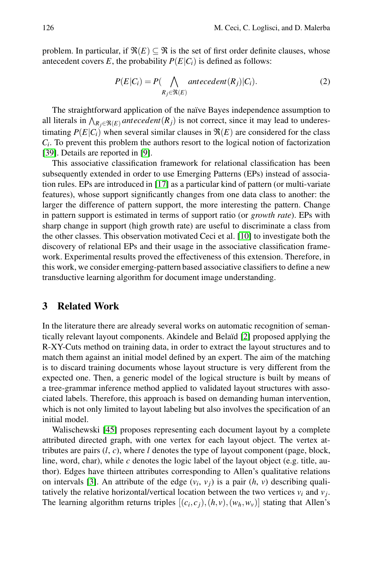problem. In particular, if  $\Re(E) \subset \Re$  is the set of first order definite clauses, whose antecedent covers  $E$ , the probability  $P(E|C_i)$  is defined as follows:

$$
P(E|C_i) = P(\bigwedge_{R_j \in \mathfrak{R}(E)} antecedent(R_j)|C_i).
$$
 (2)

The strai[ghtf](#page-20-5)orward application of the naïve Bayes independence assumption to all literals in  $\bigwedge_{R_j \in \Re(E)}$  *antecedent*( $R_j$ ) is not correct, since it may lead to underestimating  $P(E|C_i)$  when several similar clauses in  $\Re(E)$  are considered for the class *Ci*. To prevent this problem the authors resort to the logical notion of factorization [39]. Details are reported in [9].

<span id="page-5-0"></span>This associative classification fr[ame](#page-19-2)work for relational classification has been subsequently extended in order to use Emerging Patterns (EPs) instead of association rules. EPs are introduced in [17] as a particular kind of pattern (or multi-variate features), whose support significantly changes from one data class to another: the larger the difference of pattern support, the more interesting the pattern. Change in pattern support is estimated in terms of support ratio (or *growth rate*). EPs with sharp change in support (high growth rate) are useful to discriminate a class from the other classes. This observation motivated Ceci et al. [10] to investigate both the discovery of relational EPs and their usage in the associative classification framework. Experimental results proved t[he](#page-19-3) effectiveness of this extension. Therefore, in this work, we consider emerging-pattern based associative classifiers to define a new transductive learning algorithm for document image understanding.

# **3 Related Work**

In the literature there are already several works on automatic recognition of semantically relevant layout components. Akindele and Belaïd [2] proposed applying the [R](#page-21-5)-XY-Cuts method on training data, in order to extract the layout structures and to match them against an initial model defined by an expert. The aim of the matching is to discard training documents whose layout structure is very different from the expected one. Then, a generic model of the logical structure is built by means of a tree-grammar inference method applied to validated layout structures with associated labels. Therefore, this approach is based on demanding human intervention, which is not only limited to layout labeling but also involves the specification of an initial model.

Walischewski [45] proposes representing each document layout by a complete attributed directed graph, with one vertex for each layout object. The vertex attributes are pairs (*l*, *c*), where *l* denotes the type of layout component (page, block, line, word, char), while  $c$  denotes the logic label of the layout object (e.g. title, author). Edges have thirteen attributes corresponding to Allen's qualitative relations on intervals [3]. An attribute of the edge  $(v_i, v_j)$  is a pair  $(h, v)$  describing qualitatively the relative horizontal/vertical location between the two vertices  $v_i$  and  $v_j$ . The learning algorithm returns triples  $[(c_i, c_j), (h, v), (w_h, w_v)]$  stating that Allen's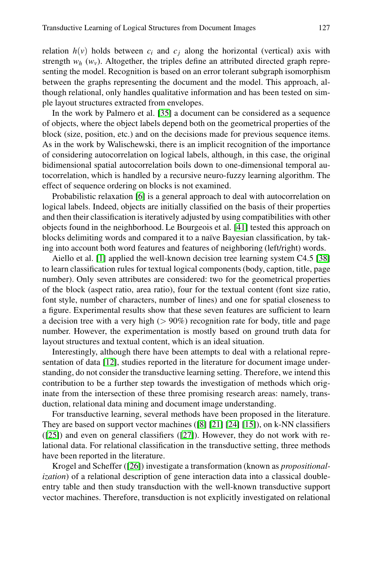relation  $h(v)$  holds between  $c_i$  and  $c_j$  along the horizontal (vertical) axis with strength  $w_h$  ( $w_v$ ). Altogether, the triples define an attributed directed graph representing the model. Recognition is based on an error tolerant subgraph isomorphism between the graphs representing the document and the model. This approach, although relational, only handles qualitative information and has been tested on simple layout structures extracted from envelopes.

In t[he](#page-19-4) work by Palmero et al. [35] a document can be considered as a sequence of objects, where the object labels depend both on the geometrical properties of the block (size, position, etc.) and on the decisions made for previous sequence items. As in the work by Walischewski, t[here](#page-21-7) is an implicit recognition of the importance of considering autocorrelation on logical labels, although, in this case, the original bidimensional spatial autocorrelation boils down to one-dimensional temporal autocorrelation, which is handled by a recursive neuro-fuzzy [lea](#page-21-8)rning algorithm. The effect of sequence ordering on blocks is not examined.

Probabilistic relaxation [6] is a general approach to deal with autocorrelation on logical labels. Indeed, objects are initially classified on the basis of their properties and then their classification is iteratively adjusted by using compatibilities with other objects found in the neighborhood. Le Bourgeois et al. [41] tested this approach on blocks delimiting words and compared it to a naïve Bayesian classification, by taking into account both word features and features of neighboring (left/right) words.

Aiello et al. [1] applied the well-known decision tree learning system C4.5 [38] to learn classification rules for textual logical components (body, caption, title, page [n](#page-20-6)umber). Only seven attributes are considered: two for the geometrical properties of the block (aspect ratio, area ratio), four for the textual content (font size ratio, font style, number of characters, number of lines) and one for spatial closeness to a figure. Experimental results show that these seven features are sufficient to learn a decision tree with a very high (*>* 90%) recognition rate for body, title and page number. However, the experimentation is mostly based on ground truth data for layout structures and tex[tu](#page-19-5)a[l co](#page-20-2)n[tent](#page-20-7), [whi](#page-20-8)ch is an ideal situation.

Interestingly, alt[hou](#page-20-9)gh there have been attempts to deal with a relational representation of data [12], studies reported in the literature for document image understanding, do not consider the transductive learning setting. Therefore, we intend this con[tribu](#page-20-10)tion to be a further step towards the investigation of methods which originate from the intersection of these three promising research areas: namely, transduction, relational data mining and document image understanding.

For transductive learning, several methods have been proposed in the literature. They are based on support vector machines ([8] [21] [24] [15]), on k-NN classifiers ([25]) and even on general classifiers ([27]). However, they do not work with relational data. For relational classification in the transductive setting, three methods have been reported in the literature.

Krogel and Scheffer ([26]) investigate a transformation (known as *propositionalization*) of a relational description of gene interaction data into a classical doubleentry table and then study transduction with the well-known transductive support vector machines. Therefore, transduction is not explicitly investigated on relational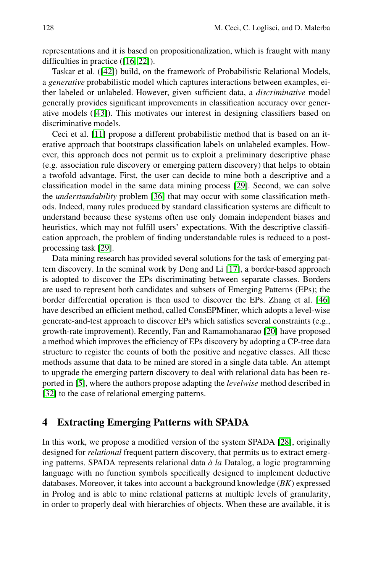representations and it is based on propositionalization, which is fraught with many difficulties in practice ([16, 22]).

Taskar et al. ([42]) build, on the framework of Probabilistic Relational Models, a *generative* probabilistic model which captures interactions between examples, either labeled or unlabeled. However, given sufficient data, a *discriminative* model generally provides significant imp[rove](#page-20-11)ments in classification accuracy over generative mod[els \(](#page-21-9)[43]). This motivates our interest in designing classifiers based on discriminative models.

Ceci et al. [11] propose a different probabilistic method that is based on an iterative approach that bootstraps classification labels on unlabeled examples. However, this approach does not permit us to exploit a preliminary descriptive phase (e.g. association rule discovery or emerging pattern discovery) that helps to obtain a twofold advantage. First, the user can decide to mine both a descriptive and a classification model in the same [da](#page-20-5)ta mining process [29]. Second, we can solve the *understandability* problem [36] that may occur with some classification methods. Indeed, many rules produced by standard classification systems are difficult to understand because these systems often use only domain [ind](#page-21-10)ependent biases and heuristics, which may not fulfill users' expectations. With the descriptive classification approach, the problem of finding understandable rules is reduced to a postprocessing task [29].

<span id="page-7-0"></span>Data mining research has provided sever[al](#page-20-12) [so](#page-20-12)lutions for the task of emerging pattern discovery. In the seminal work by Dong and Li [17], a border-based approach is adopted to discover the EPs discriminating between separate classes. Borders are used to represent both candidates and subsets of Emerging Patterns (EPs); the border differential operation is then used to discover the EPs. Zhang et al. [46] have described an efficient method, called ConsEPMiner, which adopts a level-wise generate-and-test approach to discover EPs which satisfies several constraints (e.g., growth-rate improvement). Recently, Fan and Ramamohanarao [20] have proposed a method which improves the efficiency of EPs discovery by adopting a CP-tree data structure to register the counts of both the positive and negative classes. All these methods assume that data to be mined are store[d in](#page-20-13) a single data table. An attempt to upgrade the emerging pattern discovery to deal with relational data has been reported in [5], where the authors propose adapting the *levelwise* method described in [32] to the case of relational emerging patterns.

### **4 Extracting Emerging Patterns with SPADA**

In this work, we propose a modified version of the system SPADA [28], originally designed for *relational* frequent pattern discovery, that permits us to extract emerging patterns. SPADA represents relational data  $\dot{a}$  *la* Datalog, a logic programming language with no function symbols specifically designed to implement deductive databases. Moreover, it takes into account a background knowledge (*BK*) expressed in Prolog and is able to mine relational patterns at multiple levels of granularity, in order to properly deal with hierarchies of objects. When these are available, it is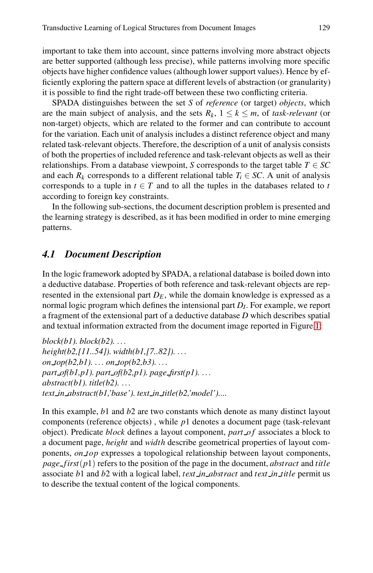important to take them into account, since patterns involving more abstract objects are better supported (although less precise), while patterns involving more specific objects have higher confidence values (although lower support values). Hence by efficiently exploring the pattern space at different levels of abstraction (or granularity) it is possible to find the right trade-off between these two conflicting criteria.

SPADA distinguishes between the set *S* of *reference* (or target) *objects*, which are the main subject of analysis, and the sets  $R_k$ ,  $1 \leq k \leq m$ , of *task-relevant* (or non-target) objects, which are related to the former and can contribute to account for the variation. Each unit of analysis includes a distinct reference object and many related task-relevant objects. Therefore, the description of a unit of analysis consists of both the properties of included reference and task-relevant objects as well as their relationships. From a database viewpoint, *S* corresponds to the target table  $T \in \mathcal{SC}$ and each  $R_k$  corresponds to a different relational table  $T_i \in SC$ . A unit of analysis corresponds to a tuple in  $t \in T$  and to all the tuples in the databases related to *t* according to foreign key constraints.

In the following sub-sections, the document description problem is presented and the learning strategy is described, as it has been modified in order to mine emerging patterns.

### *4.1 Document Description*

In the logic framework adopted by SPADA, a relational database is boiled down into a deductive database. Properties of both reference and task-relevant objects are represented in the extensional part  $D_E$ , while the domain knowledge is expressed as a normal logic program which defines the intensional part *DI*. For example, we report a fragment of the extensional part of a deductive database *D* which describes spatial and textual information extracted from the document image reported in Figure 1:

*block(b1). block(b2). ... height(b2,[11..54]). width(b1,[7..82]). ... on top(b2,b1). ... on top(b2,b3). ... part of(b1,p1). part of(b2,p1). page first(p1). ... abstract(b1). title(b2). ... text in abstract(b1,'base'). text in title(b2,'model')....*

In this example, *b*1 and *b*2 are two constants which denote as many distinct layout components (reference objects) , while *p*1 denotes a document page (task-relevant object). Predicate *block* defines a layout component, *part o f* associates a block to a document page, *height* and *width* describe geometrical properties of layout components, *on top* expresses a topological relationship between layout components, *page\_first* $(p1)$  refers to the position of the page in the document, *abstract* and *title* associate *b*1 and *b*2 with a logical label, *text in abstract* and *text in title* permit us to describe the textual content of the logical components.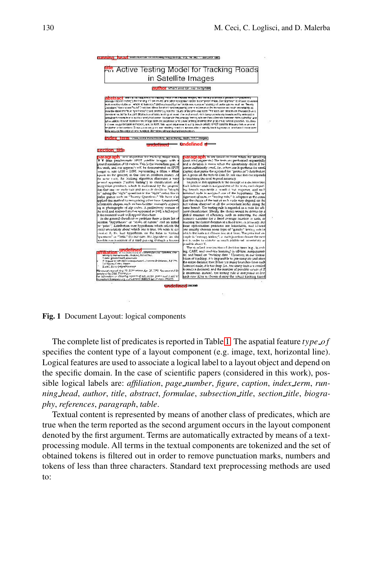

**Fig. 1** Document Layout: logical components

The complete list of predicates is reported in Table 1. The aspatial feature *type o f* specifies the content type of a layout component (e.g. image, text, horizontal line). Logical features are used to associate a logical label to a layout object and depend on the specific domain. In the case of scientific papers (considered in this work), possible logical labels are: *affiliation*, *page number*, *figure*, *caption*, *index term*, *running head*, *author*, *title*, *abstract*, *formulae*, *subsection title*, *section title*, *biography*, *references*, *paragraph*, *table*.

Textual content is represented by means of another class of predicates, which are true when the term reported as the second argument occurs in the layout component denoted by the first argument. Terms are automatically extracted by means of a textprocessing module. All terms in the textual components are tokenized and the set of obtained tokens is filtered out in order to remove punctuation marks, numbers and tokens of less than three characters. Standard text preprocessing methods are used to: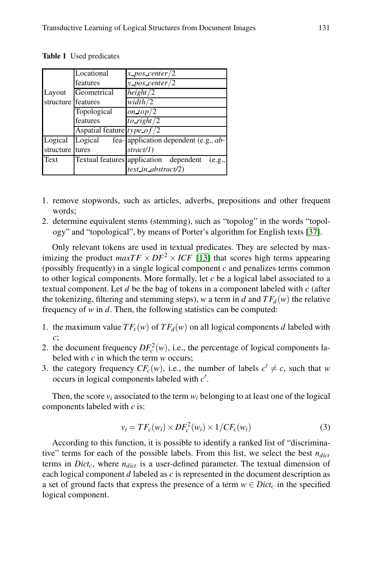|                    | Locational                    | $x$ -pos-center/2                                |
|--------------------|-------------------------------|--------------------------------------------------|
|                    | features                      | $y_{DOS}$ center/2                               |
| Layout             | Geometrical                   | height $/2$                                      |
| structure features |                               | width/2                                          |
|                    | Topological                   | on $top/2$                                       |
|                    | features                      | $to$ -right $/2$                                 |
|                    | Aspatial feature type of $/2$ |                                                  |
| Logical            | Logical                       | fea- application dependent (e.g., ab-            |
| structure tures    |                               | $\frac{stract}{I}$                               |
| Text               |                               | Textual features application dependent<br>(e.g., |
|                    |                               | $text_in\_abstract/2)$                           |

**Table 1** Used predicates

- 1. remove stopwords, such as articles, adverbs, prepositions and other frequent words;
- 2. determine equivalent stems (stemming), such as "topolog" in the words "topology" and "topological", by means of Porter's algorithm for English texts [37].

Only relevant tokens are used in textual predicates. They are selected by maximizing the product  $maxTF \times DF^2 \times ICF$  [13] that scores high terms appearing (possibly frequently) in a single logical component *c* and penalizes terms common to other logical components. More formally, let *c* be a logical label associated to a textual component. Let *d* be the bag of tokens in a component labeled with *c* (after the tokenizing, filtering and stemming steps),  $w$  a term in  $d$  and  $TF_d(w)$  the relative frequency of *w* in *d*. Then, the following statistics can be computed:

- 1. the maximum value  $TF_c(w)$  of  $TF_d(w)$  on all logical components *d* labeled with *c*;
- 2. the document frequency  $DF_c^2(w)$ , i.e., the percentage of logical components labeled with *c* in which the term *w* occurs;
- 3. the category frequency  $CF_c(w)$ , i.e., the number of labels  $c' \neq c$ , such that *w* occurs in logical components labeled with *c* .

Then, the score  $v_i$  associated to the term  $w_i$  belonging to at least one of the logical components labeled with *c* is:

$$
v_i = T F_c(w_i) \times DF_c^2(w_i) \times 1 / CF_c(w_i)
$$
\n(3)

According to this function, it is possible to identify a ranked list of "discriminative" terms for each of the possible labels. From this list, we select the best  $n_{dict}$ terms in  $Dict_c$ , where  $n_{dict}$  is a user-defined parameter. The textual dimension of each logical component *d* labeled as *c* is represented in the document description as a set of ground facts that express the presence of a term  $w \in Dict_c$  in the specified logical component.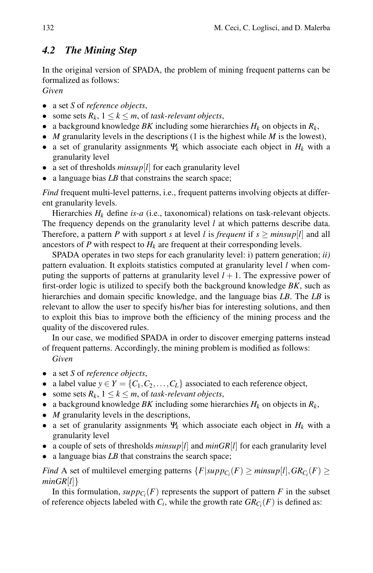# *4.2 The Mining Step*

In the original version of SPADA, the problem of mining frequent patterns can be formalized as follows:

*Given*

- a set *S* of *reference objects*,
- some sets  $R_k$ ,  $1 \leq k \leq m$ , of *task-relevant objects*,
- a background knowledge *BK* including some hierarchies  $H_k$  on objects in  $R_k$ ,
- *M* granularity levels in the descriptions (1 is the highest while *M* is the lowest),
- a set of granularity assignments  $\Psi_k$  which associate each object in  $H_k$  with a granularity level
- a set of thresholds *minsup*[*l*] for each granularity level
- a language bias *LB* that constrains the search space;

*Find* frequent multi-level patterns, i.e., frequent patterns involving objects at different granularity levels.

Hierarchies  $H_k$  define *is-a* (i.e., taxonomical) relations on task-relevant objects. The frequency depends on the granularity level *l* at which patterns describe data. Therefore, a pattern *P* with support *s* at level *l* is *frequent* if  $s \geq minsup[l]$  and all ancestors of  $P$  with respect to  $H_k$  are frequent at their corresponding levels.

SPADA operates in two steps for each granularity level: i) pattern generation; *ii)* pattern evaluation. It exploits statistics computed at granularity level *l* when computing the supports of patterns at granularity level  $l + 1$ . The expressive power of first-order logic is utilized to specify both the background knowledge *BK*, such as hierarchies and domain specific knowledge, and the language bias *LB*. The *LB* is relevant to allow the user to specify his/her bias for interesting solutions, and then to exploit this bias to improve both the efficiency of the mining process and the quality of the discovered rules.

In our case, we modified SPADA in order to discover emerging patterns instead of frequent patterns. Accordingly, the mining problem is modified as follows:

*Given*

- a set *S* of *reference objects*,
- a label value  $y \in Y = \{C_1, C_2, \ldots, C_L\}$  associated to each reference object,
- some sets  $R_k$ ,  $1 \leq k \leq m$ , of *task-relevant objects*,
- a background knowledge *BK* including some hierarchies  $H_k$  on objects in  $R_k$ ,
- *M* granularity levels in the descriptions,
- a set of granularity assignments  $\Psi_k$  which associate each object in  $H_k$  with a granularity level
- a couple of sets of thresholds *minsup*[*l*] and *minGR*[*l*] for each granularity level
- a language bias *LB* that constrains the search space;

*Find* A set of multilevel emerging patterns  $\{F|supp_{C_i}(F) \geq minsup[l], GR_{C_i}(F) \geq$  $minGR[l]$ }

In this formulation,  $supp_{C_i}(F)$  represents the support of pattern  $F$  in the subset of reference objects labeled with  $C_i$ , while the growth rate  $GR_{C_i}(F)$  is defined as: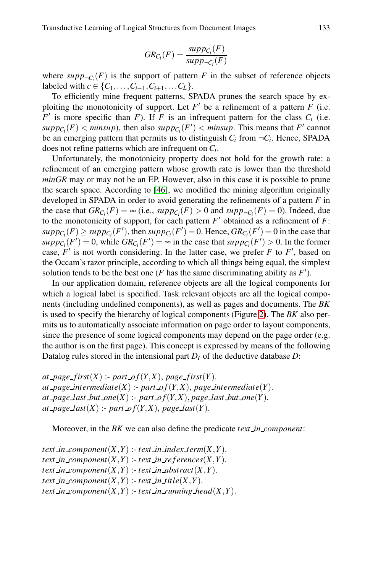$$
GR_{C_i}(F) = \frac{supp_{C_i}(F)}{supp_{\neg C_i}(F)}
$$

where  $supp_{\neg C_i}(F)$  is the support of pattern *F* in the subset of reference objects labeled with *c* ∈ { $C_1$ , ...,  $C_{i-1}$ ,  $C_{i+1}$ , ...  $C_L$ }.

To efficiently mine frequent patterns, SPADA prunes the search space by exploiting the [mo](#page-21-10)notonicity of support. Let  $F'$  be a refinement of a pattern  $F$  (i.e.  $F'$  is more specific than *F*). If *F* is an infrequent pattern for the class  $C_i$  (i.e.  $supp_{C_i}(F)$   $\lt$  *minsup*), then also  $supp_{C_i}(F')$   $\lt$  *minsup*. This means that  $F'$  cannot be an emerging pattern that permits us to distinguish  $C_i$  from  $\neg C_i$ . Hence, SPADA does not refine patterns which are infrequent on *Ci*.

Unfortunately, the monotonicity property does not hold for the growth rate: a refinement of an emerging pattern whose growth rate is lower than the threshold *minGR* may or may not be an EP. However, also in this case it is possible to prune the search space. According to [46], we modified the mining algorithm originally developed in SPADA in order to avoid generating the refinements of a pattern *F* in the case that  $GR_{C_i}(F) = \infty$  (i.e.,  $supp_{C_i}(F) > 0$  and  $supp_{-C_i}(F) = 0$ ). Indeed, due to the monotonicity of support, for each pattern  $F'$  obtained as a refinement of  $F$ :  $supp_{C_i}(F) \geq supp_{C_i}(F')$ , then  $supp_{C_i}(F') = 0$  $supp_{C_i}(F') = 0$  $supp_{C_i}(F') = 0$ . Hence,  $GR_{C_i}(F') = 0$  in the case that  $supp_{C_i}(F') = 0$ , while  $GR_{C_i}(F') = \infty$  in the case that  $supp_{C_i}(F') > 0$ . In the former case,  $F'$  is not worth considering. In the latter case, we prefer  $F$  to  $F'$ , based on the Occam's razor principle, according to which all things being equal, the simplest solution tends to be the best one ( $F$  has the same discriminating ability as  $F'$ ).

In our application domain, reference objects are all the logical components for which a logical label is specified. Task relevant objects are all the logical components (including undefined components), as well as pages and documents. The *BK* is used to specify the hierarchy of logical components (Figure 2). The *BK* also permits us to automatically associate information on page order to layout components, since the presence of some logical components may depend on the page order (e.g. the author is on the first page). This concept is expressed by means of the following Datalog rules stored in the intensional part *DI* of the deductive database *D*:

 $at\_{page\}first(X)$  :- *part*  $of(Y,X)$ , *page*  $first(Y)$ .  $at$ -page\_intermediate( $X$ ) :- part\_of( $Y$ <sup>*,X*</sup>), page\_intermediate( $Y$ ).  $at$  *page last but*  $one(X)$  :- *part*  $of(Y, X)$ *, page last but*  $one(Y)$ *.*  $at$  *page*  $last(X)$  :- *part*  $of(Y, X)$ , *page*  $last(Y)$ .

Moreover, in the *BK* we can also define the predicate *text in component*:

 $text{Text in component}(X, Y) := \text{text in index } \text{term}(X, Y)$ .  $text{ }$  *in*  $\mathcal{L}$ *component* $(X, Y)$  :-  $text{ }$  *in*  $\mathcal{L}$ *re f erences* $(X, Y)$ . *text in component*( $X, Y$ ) :- *text in abstract*( $X, Y$ ).  $text{if } x \neq j$  *in*  $\text{f} \text{ component}(X, Y) := \text{f} \text{ ext}_j \text{ in } \text{if } \text{if } \text{f} \text{ be } (X, Y).$  $text{if } (X,Y) := \text{if } x \in \text{if } Y \neq Y$ .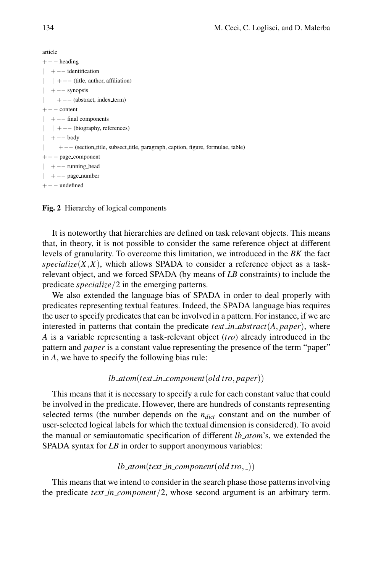article

| $+ - -$ heading                                                                  |  |
|----------------------------------------------------------------------------------|--|
| $\vert + - -$ identification                                                     |  |
| $\vert \vert$ + -- (title, author, affiliation)                                  |  |
| $+--$ synopsis                                                                   |  |
| $\vert$ + - (abstract, index term)                                               |  |
| $+ - -$ content                                                                  |  |
| $+ -$ final components                                                           |  |
| $\vert \vert \vert \vert$ + - (biography, references)                            |  |
| $+--$ body                                                                       |  |
| + -- (section title, subsect title, paragraph, caption, figure, formulae, table) |  |
| $+ - -$ page component                                                           |  |
| $+ - -$ running head                                                             |  |
| $+ -$ page number                                                                |  |
| $+ - -$ undefined                                                                |  |
|                                                                                  |  |

<span id="page-13-0"></span>**Fig. 2** Hierarchy of logical components

It is noteworthy that hierarchies are defined on task relevant objects. This means that, in theory, it is not possible to consider the same reference object at different levels of granularity. To overcome this limitation, we introduced in the *BK* the fact  $specialize(X, X)$ , which allows SPADA to consider a reference object as a taskrelevant object, and we forced SPADA (by means of *LB* constraints) to include the predicate *specialize/*2 in the emerging patterns.

We also extended the language bias of SPADA in order to deal properly with predicates representing textual features. Indeed, the SPADA language bias requires the user to specify predicates that can be involved in a pattern. For instance, if we are interested in patterns that contain the predicate *text in abstract*(*A, paper*), where *A* is a variable representing a task-relevant object (*tro*) already introduced in the pattern and *paper* is a constant value representing the presence of the term "paper" in *A*, we have to specify the following bias rule:

#### *lb atom*(*text in component*(*old tro, paper*))

This means that it is necessary to specify a rule for each constant value that could be involved in the predicate. However, there are hundreds of constants representing selected terms (the number depends on the  $n_{dict}$  constant and on the number of user-selected logical labels for which the textual dimension is considered). To avoid the manual or semiautomatic specification of different *lb atom*'s, we extended the SPADA syntax for *LB* in order to support anonymous variables:

#### *lb atom*(*text in component*(*old tro,* ))

This means that we intend to consider in the search phase those patterns involving the predicate *text in component/*2, whose second argument is an arbitrary term.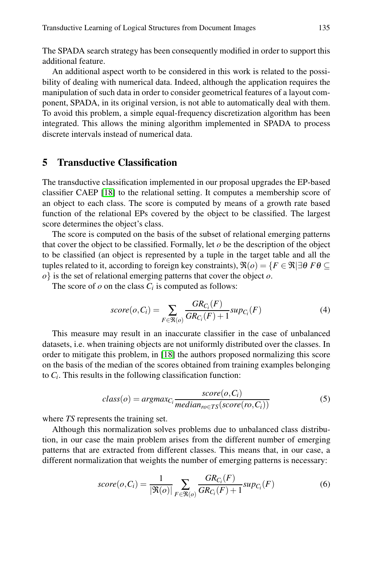The SPADA search strategy has been consequently modified in order to support this additional feature.

An additional aspect worth to be considered in this work is related to the possibility of dealing with numerical data. Indeed, although the application requires the manipulation of such data in order to consider geometrical features of a layout component, SPADA, in its original version, is not able to automatically deal with them. To avoid this problem, a simple equal-frequency discretization algorithm has been integrated. This allows the mining algorithm implemented in SPADA to process discrete intervals instead of numerical data.

# **5 Transductive Classification**

The transductive classification implemented in our proposal upgrades the EP-based classifier CAEP [18] to the relational setting. It computes a membership score of an object to each class. The score is computed by means of a growth rate based function of the relational EPs covered by the object to be classified. The largest score determines the object's class.

The score is computed on the basis of the subset of relational emerging patterns that cover the object to be classified. Formally, let  $o$  be the description of the object to be classified (an object is represented by a tuple in the target table and all the tuples related to it, according to foreign key constraints),  $\Re(\rho) = \{F \in \Re | \exists \theta \ F\theta \subseteq \theta\}$ *o*} is the set o[f re](#page-20-14)lational emerging patterns that cover the object *o*.

The score of  $o$  on the class  $C_i$  is computed as follows:

$$
score(o, C_i) = \sum_{F \in \mathfrak{R}(o)} \frac{GR_{C_i}(F)}{GR_{C_i}(F) + 1} sup_{C_i}(F)
$$
\n(4)

This measure may result in an inaccurate classifier in the case of unbalanced datasets, i.e. when training objects are not uniformly distributed over the classes. In order to mitigate this problem, in [18] the authors proposed normalizing this score on the basis of the median of the scores obtained from training examples belonging to *Ci*. This results in the following classification function:

$$
class(o) = argmax_{C_i} \frac{score(o, C_i)}{median_{ro\in TS}(score(ro, C_i))}
$$
\n
$$
(5)
$$

where *TS* represents the training set.

Although this normalization solves problems due to unbalanced class distribution, in our case the main problem arises from the different number of emerging patterns that are extracted from different classes. This means that, in our case, a different normalization that weights the number of emerging patterns is necessary:

$$
score(o, C_i) = \frac{1}{|\Re(o)|} \sum_{F \in \Re(o)} \frac{GR_{C_i}(F)}{GR_{C_i}(F) + 1} \, \text{supc}_i(F) \tag{6}
$$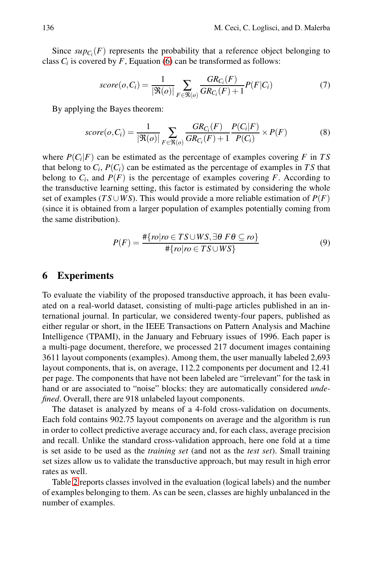Since  $sup_{C_i}(F)$  represents the probability that a reference object belonging to class  $C_i$  is covered by  $F$ , Equation (6) can be transformed as follows:

$$
score(o, C_i) = \frac{1}{|\Re(o)|} \sum_{F \in \Re(o)} \frac{GR_{C_i}(F)}{GR_{C_i}(F) + 1} P(F|C_i)
$$
(7)

By applying the Bayes theorem:

$$
score(o, C_i) = \frac{1}{|\Re(o)|} \sum_{F \in \Re(o)} \frac{GR_{C_i}(F)}{GR_{C_i}(F) + 1} \frac{P(C_i|F)}{P(C_i)} \times P(F)
$$
(8)

<span id="page-15-0"></span>where  $P(C_i|F)$  can be estimated as the percentage of examples covering *F* in *TS* that belong to  $C_i$ ,  $P(C_i)$  can be estimated as the percentage of examples in *TS* that belong to  $C_i$ , and  $P(F)$  is the percentage of examples covering *F*. According to the transductive learning setting, this factor is estimated by considering the whole set of examples ( $TS \cup WS$ ). This would provide a more reliable estimation of  $P(F)$ (since it is obtained from a larger population of examples potentially coming from the same distribution).

$$
P(F) = \frac{\# \{ ro | ro \in TS \cup WS, \exists \theta \ F \theta \subseteq ro \}}{\# \{ ro | ro \in TS \cup WS \}}
$$
(9)

### **6 Experiments**

To evaluate the viability of the proposed transductive approach, it has been evaluated on a real-world dataset, consisting of multi-page articles published in an international journal. In particular, we considered twenty-four papers, published as either regular or short, in the IEEE Transactions on Pattern Analysis and Machine Intelligence (TPAMI), in the January and February issues of 1996. Each paper is a multi-page document, therefore, we processed 217 document images containing 3611 layout components (examples). Among them, the user manually labeled 2,693 layout components, that is, on average, 112.2 components per document and 12.41 per page. The components that have not been labeled are "irrelevant" for the task in hand or are associated to "noise" blocks: they are automatically considered *undefined*. Overall, there are 918 unlabeled layout components.

The dataset is analyzed by means of a 4-fold cross-validation on documents. Each fold contains 902.75 layout components on average and the algorithm is run in order to collect predictive average accuracy and, for each class, average precision and recall. Unlike the standard cross-validation approach, here one fold at a time is set aside to be used as the *training set* (and not as the *test set*). Small training set sizes allow us to validate the transductive approach, but may result in high error rates as well.

Table 2 reports classes involved in the evaluation (logical labels) and the number of examples belonging to them. As can be seen, classes are highly unbalanced in the number of examples.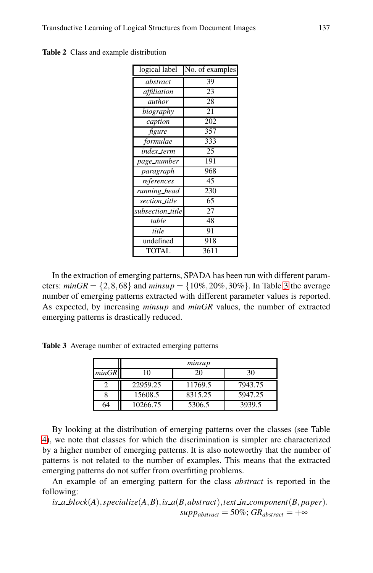| logical label    | No. of examples |
|------------------|-----------------|
| abstract         | 39              |
| affiliation      | 23              |
| author           | 28              |
| biography        | 21              |
| caption          | 202             |
| figure           | 357             |
| formulae         | 333             |
| index_term       | 25              |
| page_number      | 191             |
| paragraph        | 968             |
| references       | 45              |
| running head     | 230             |
| section_title    | 65              |
| subsection_title | 27              |
| table            | 48              |
| title            | 91              |
| undefined        | 918             |
| TOTAL            | 3611            |

**Table 2** Class and example distribution

<span id="page-16-0"></span>In the extraction of emerging patterns, SPADA has been run with different parameters:  $minGR = \{2, 8, 68\}$  and  $minsup = \{10\%, 20\%, 30\% \}$ . In Table 3 the average number of emerging patterns extracted with different parameter values is reported. As expected, by increasing *minsup* and *minGR* values, the number of extracted emerging patterns is drastically reduced.

**Table 3** Average number of extracted emerging patterns

|       | minsup   |         |         |
|-------|----------|---------|---------|
| minGR |          | 20      | 30      |
|       | 22959.25 | 11769.5 | 7943.75 |
|       | 15608.5  | 8315.25 | 5947.25 |
| 54    | 10266.75 | 5306.5  | 3939.5  |

By looking at the distribution of emerging patterns over the classes (see Table 4), we note that classes for which the discrimination is simpler are characterized by a higher number of emerging patterns. It is also noteworthy that the number of patterns is not related to the number of examples. This means that the extracted emerging patterns do not suffer from overfitting problems.

An example of an emerging pattern for the class *abstract* is reported in the following:

is a block(A), specialize(A,B), is  $a(B, abstract)$ , text in component  $(B, paper)$ .  $supp_{abstract} = 50\%; GR_{abstract} = +\infty$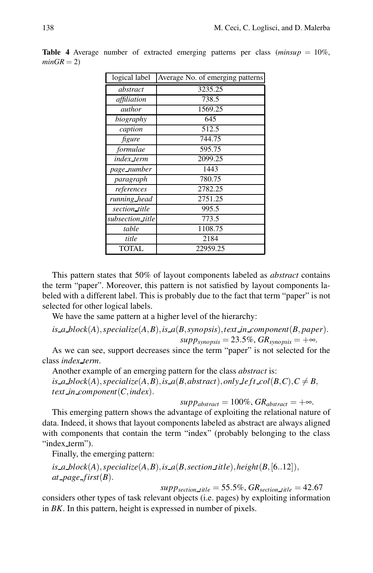| logical label    | Average No. of emerging patterns |
|------------------|----------------------------------|
| abstract         | 3235.25                          |
| affiliation      | 738.5                            |
| author           | 1569.25                          |
| biography        | 645                              |
| caption          | 512.5                            |
| figure           | 744.75                           |
| formulae         | 595.75                           |
| index_term       | 2099.25                          |
| page_number      | 1443                             |
| paragraph        | 780.75                           |
| references       | 2782.25                          |
| running_head     | 2751.25                          |
| section_title    | 995.5                            |
| subsection_title | 773.5                            |
| table            | 1108.75                          |
| title            | 2184                             |
| <b>TOTAL</b>     | 22959.25                         |

**Table 4** Average number of extracted emerging patterns per class (*minsup* =  $10\%$ ,  $minGR = 2$ 

This pattern states that 50% of layout components labeled as *abstract* contains the term "paper". Moreover, this pattern is not satisfied by layout components labeled with a different label. This is probably due to the fact that term "paper" is not selected for other logical labels.

We have the same pattern at a higher level of the hierarchy:

is a block(A), specialize(A, B), is  $a(B, \text{swnopsis})$ , text in component(B, paper).

 $supp_{\text{swnonsis}} = 23.5\%, GR_{\text{swnonsis}} = +\infty.$ 

As we can see, support decreases since the term "paper" is not selected for the class *index term*.

Another example of an emerging pattern for the class *abstract* is: is a block(A), specialize(A, B), is  $a(B, abstract)$ , only left  $col(B, C), C \neq B$ , *text in component*(*C,index*)*.*

 $supp_{abstract} = 100\%$ , *GR*<sub>abstract</sub> =  $+\infty$ .

This emerging pattern shows the advantage of exploiting the relational nature of data. Indeed, it shows that layout components labeled as abstract are always aligned with components that contain the term "index" (probably belonging to the class "index\_term").

Finally, the emerging pattern:

*is a block* $(A)$ *,specialize* $(A, B)$ *,is*  $a(B, section title)$ *,height* $(B, [6..12])$ *,*  $at\_page\_first(B)$ .

 $supp_{section\_title} = 55.5\%, GR_{section\_title} = 42.67$ 

considers other types of task relevant objects (i.e. pages) by exploiting information in *BK*. In this pattern, height is expressed in number of pixels.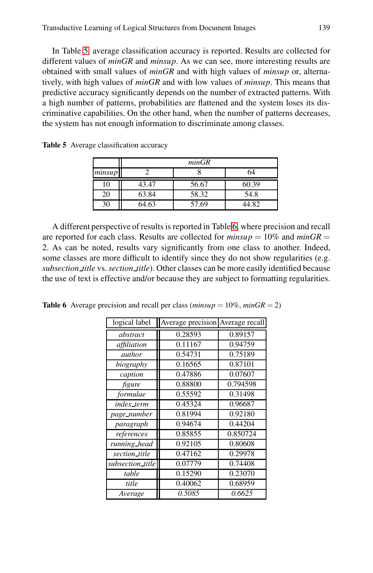In Table 5, average classification accuracy is reported. Results are collected for different values of *minGR* and *minsup*. As we can see, more interesting results are obtained with small values of *minGR* and with high values of *minsup* or, alternatively, with high values of *minGR* and with low values of *minsup*. This means that predictive accuracy significantly depends on the number of extracted patterns. With a high number of patterns, probabilities are flattened and the system loses its discriminative capabilities. On the other hand, when the number of patterns decreases, the system has not enough information to discriminate among classes.

**Table 5** Average classification accur[acy](#page-18-0)

|        | minGR |       |       |
|--------|-------|-------|-------|
| minsup |       |       | 64    |
| 10     | 43.47 | 56.67 | 60.39 |
| 20     | 63.84 | 58.32 | 54.8  |
| 30     | 64.63 | 57.69 | 44.82 |

<span id="page-18-0"></span>A different perspective of results is reported in Table 6, where precision and recall are reported for each class. Results are collected for *minsup* = 10% and *minGR* = 2. As can be noted, results vary significantly from one class to another. Indeed, some classes are more difficult to identify since they do not show regularities (e.g. *subsection title* vs. *section title*). Other classes can be more easily identified because the use of text is effective and/or because they are subject to formatting regularities.

| logical label    | Average precision Average recall |          |
|------------------|----------------------------------|----------|
| abstract         | 0.28593                          | 0.89157  |
| affiliation      | 0.11167                          | 0.94759  |
| <i>author</i>    | 0.54731                          | 0.75189  |
| biography        | 0.16565                          | 0.87101  |
| caption          | 0.47886                          | 0.07607  |
| figure           | 0.88800                          | 0.794598 |
| formulae         | 0.55592                          | 0.31498  |
| index_term       | 0.45324                          | 0.96687  |
| page_number      | 0.81994                          | 0.92180  |
| paragraph        | 0.94674                          | 0.44204  |
| references       | 0.85855                          | 0.850724 |
| running head     | 0.92105                          | 0.80608  |
| section_title    | 0.47162                          | 0.29978  |
| subsection_title | 0.07779                          | 0.74408  |
| table            | 0.15290                          | 0.23070  |
| title            | 0.40062                          | 0.68959  |
| Average          | 0.5085                           | 0.6625   |

**Table 6** Average precision and recall per class (*minsup* =  $10\%$ *, minGR* = 2)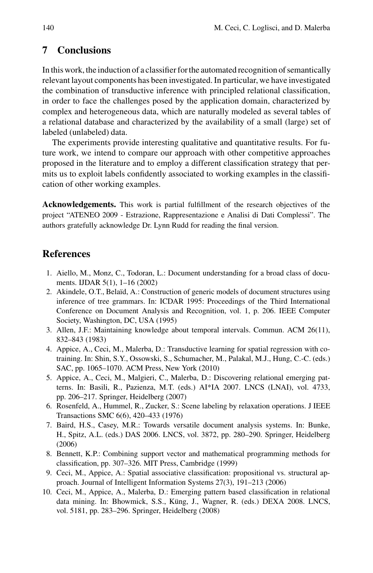# **7 Conclusions**

In this work, the induction of a classifier forthe automated recognition of semantically relevant layout components has been investigated. In particular, we have investigated the combination of transductive inference with principled relational classification, in order to face the challenges posed by the application domain, characterized by complex and heterogeneous data, which are naturally modeled as several tables of a relational database and characterized by the availability of a small (large) set of labeled (unlabeled) data.

The experiments provide interesting qualitative and quantitative results. For future work, we intend to compare our approach with other competitive approaches proposed in the literature and to employ a different classification strategy that permits us to exploit labels confidently associated to working examples in the classification of other working examples.

**Acknowledgements.** This work is partial fulfillment of the research objectives of the project "ATENEO 2009 - Estrazione, Rappresentazione e Analisi di Dati Complessi". The authors gratefully acknowledge Dr. Lynn Rudd for reading the final version.

# **References**

- 1. Aiello, M., Monz, C., Todoran, L.: Document understanding for a broad class of documents. IJDAR 5(1), 1–16 (2002)
- <span id="page-19-3"></span>2. Akindele, O.T., Belaïd, A.: Construction of generic models of document structures using inference of tree grammars. In: ICDAR 1995: Proceedings of the Third International Conference on Document Analysis and Recognition, vol. 1, p. 206. IEEE Computer Society, Washington, DC, USA (1995)
- 3. Allen, J.F.: Maintaining knowledge about temporal intervals. Commun. ACM 26(11), 832–843 (1983)
- 4. Appice, A., Ceci, M., Malerba, D.: Transductive learning for spatial regression with cotraining. In: Shin, S.Y., Ossowski, S., Schumacher, M., Palakal, M.J., Hung, C.-C. (eds.) SAC, pp. 1065–1070. ACM Press, New York (2010)
- 5. Appice, A., Ceci, M., Malgieri, C., Malerba, D.: Discovering relational emerging patterns. In: Basili, R., Pazienza, M.T. (eds.) AI\*IA 2007. LNCS (LNAI), vol. 4733, pp. 206–217. Springer, Heidelberg (2007)
- <span id="page-19-4"></span>6. Rosenfeld, A., Hummel, R., Zucker, S.: Scene labeling by relaxation operations. J IEEE Transactions SMC 6(6), 420–433 (1976)
- <span id="page-19-0"></span>7. Baird, H.S., Casey, M.R.: Towards versatile document analysis systems. In: Bunke, H., Spitz, A.L. (eds.) DAS 2006. LNCS, vol. 3872, pp. 280–290. Springer, Heidelberg (2006)
- <span id="page-19-5"></span>8. Bennett, K.P.: Combining support vector and mathematical programming methods for classification, pp. 307–326. MIT Press, Cambridge (1999)
- <span id="page-19-1"></span>9. Ceci, M., Appice, A.: Spatial associative classification: propositional vs. structural approach. Journal of Intelligent Information Systems 27(3), 191–213 (2006)
- <span id="page-19-2"></span>10. Ceci, M., Appice, A., Malerba, D.: Emerging pattern based classification in relational data mining. In: Bhowmick, S.S., Küng, J., Wagner, R. (eds.) DEXA 2008. LNCS, vol. 5181, pp. 283–296. Springer, Heidelberg (2008)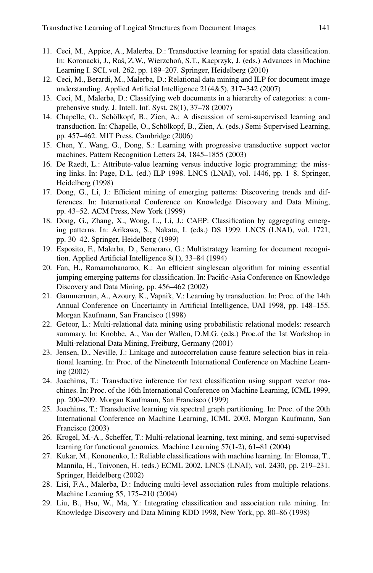- <span id="page-20-1"></span>11. Ceci, M., Appice, A., Malerba, D.: Transductive learning for spatial data classification. In: Koronacki, J., Raś, Z.W., Wierzchoń, S.T., Kacprzyk, J. (eds.) Advances in Machine Learning I. SCI, vol. 262, pp. 189–207. Springer, Heidelberg (2010)
- <span id="page-20-6"></span>12. Ceci, M., Berardi, M., Malerba, D.: Relational data mining and ILP for document image understanding. Applied Artificial Intelligence 21(4&5), 317–342 (2007)
- 13. Ceci, M., Malerba, D.: Classifying web documents in a hierarchy of categories: a comprehensive study. J. Intell. Inf. Syst. 28(1), 37–78 (2007)
- <span id="page-20-3"></span>14. Chapelle, O., Schölkopf, B., Zien, A.: A discussion of semi-supervised learning and transduction. In: Chapelle, O., Schölkopf, B., Zien, A. (eds.) Semi-Supervised Learning, pp. 457–462. MIT Press, Cambridge (2006)
- <span id="page-20-8"></span>15. Chen, Y., Wang, G., Dong, S.: Learning with progressive transductive support vector machines. Pattern Recognition Letters 24, 1845–1855 (2003)
- 16. De Raedt, L.: Attribute-value learning versus inductive logic programming: the missing links. In: Page, D.L. (ed.) ILP 1998. LNCS (LNAI), vol. 1446, pp. 1–8. Springer, Heidelberg (1998)
- <span id="page-20-5"></span>17. Dong, G., Li, J.: Efficient mining of emerging patterns: Discovering trends and differences. In: International Conference on Knowledge Discovery and Data Mining, pp. 43–52. ACM Press, New York (1999)
- <span id="page-20-14"></span>18. Dong, G., Zhang, X., Wong, L., Li, J.: CAEP: Classification by aggregating emerging patterns. In: Arikawa, S., Nakata, I. (eds.) DS 1999. LNCS (LNAI), vol. 1721, pp. 30–42. Springer, Heidelberg (1999)
- <span id="page-20-0"></span>19. Esposito, F., Malerba, D., Semeraro, G.: Multistrategy learning for document recognition. Applied Artificial Intelligence 8(1), 33–84 (1994)
- <span id="page-20-12"></span>20. Fan, H., Ramamohanarao, K.: An efficient singlescan algorithm for mining essential jumping emerging patterns for classification. In: Pacific-Asia Conference on Knowledge Discovery and Data Mining, pp. 456–462 (2002)
- <span id="page-20-2"></span>21. Gammerman, A., Azoury, K., Vapnik, V.: Learning by transduction. In: Proc. of the 14th Annual Conference on Uncertainty in Artificial Intelligence, UAI 1998, pp. 148–155. Morgan Kaufmann, San Francisco (1998)
- 22. Getoor, L.: Multi-relational data mining using probabilistic relational models: research summary. In: Knobbe, A., Van der Wallen, D.M.G. (eds.) Proc.of the 1st Workshop in Multi-relational Data Mining, Freiburg, Germany (2001)
- <span id="page-20-4"></span>23. Jensen, D., Neville, J.: Linkage and autocorrelation cause feature selection bias in relational learning. In: Proc. of the Nineteenth International Conference on Machine Learning (2002)
- <span id="page-20-7"></span>24. Joachims, T.: Transductive inference for text classification using support vector machines. In: Proc. of the 16th International Conference on Machine Learning, ICML 1999, pp. 200–209. Morgan Kaufmann, San Francisco (1999)
- 25. Joachims, T.: Transductive learning via spectral graph partitioning. In: Proc. of the 20th International Conference on Machine Learning, ICML 2003, Morgan Kaufmann, San Francisco (2003)
- <span id="page-20-10"></span>26. Krogel, M.-A., Scheffer, T.: Multi-relational learning, text mining, and semi-supervised learning for functional genomics. Machine Learning 57(1-2), 61–81 (2004)
- <span id="page-20-9"></span>27. Kukar, M., Kononenko, I.: Reliable classifications with machine learning. In: Elomaa, T., Mannila, H., Toivonen, H. (eds.) ECML 2002. LNCS (LNAI), vol. 2430, pp. 219–231. Springer, Heidelberg (2002)
- <span id="page-20-13"></span>28. Lisi, F.A., Malerba, D.: Inducing multi-level association rules from multiple relations. Machine Learning 55, 175–210 (2004)
- <span id="page-20-11"></span>29. Liu, B., Hsu, W., Ma, Y.: Integrating classification and association rule mining. In: Knowledge Discovery and Data Mining KDD 1998, New York, pp. 80–86 (1998)